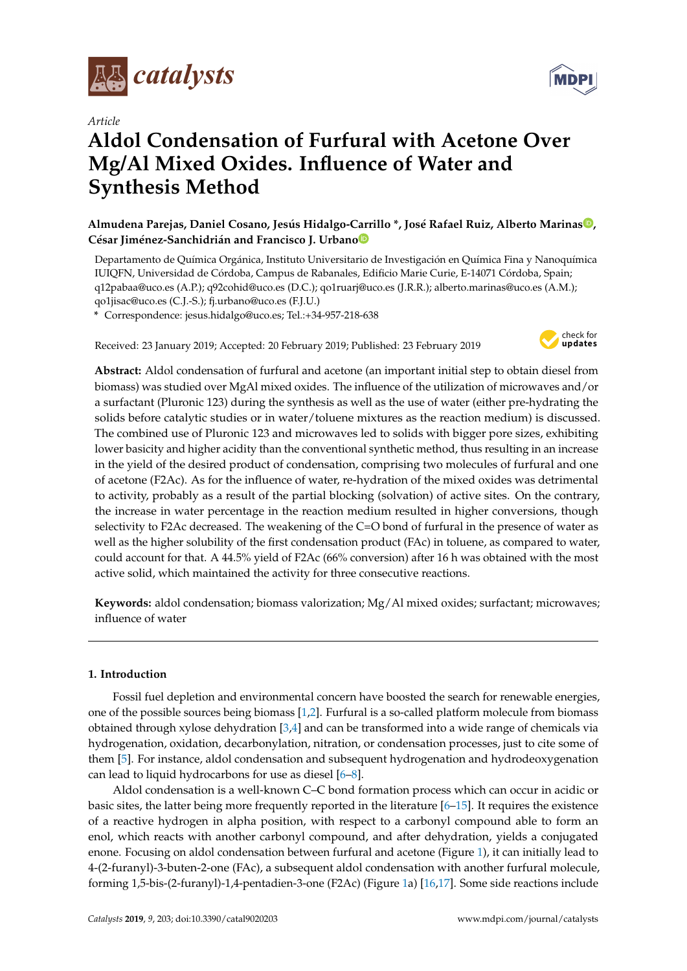

*Article*

# **Aldol Condensation of Furfural with Acetone Over Mg/Al Mixed Oxides. Influence of Water and Synthesis Method**

**Almudena Parejas, Daniel Cosano, Jesús Hidalgo-Carrillo \*, José Rafael Ruiz, Alberto Marina[s](https://orcid.org/0000-0002-2693-0711) , César Jiménez-Sanchidrián and Francisco J. Urban[o](https://orcid.org/0000-0002-3489-1601)**

Departamento de Química Orgánica, Instituto Universitario de Investigación en Química Fina y Nanoquímica IUIQFN, Universidad de Córdoba, Campus de Rabanales, Edificio Marie Curie, E-14071 Córdoba, Spain; q12pabaa@uco.es (A.P.); q92cohid@uco.es (D.C.); qo1ruarj@uco.es (J.R.R.); alberto.marinas@uco.es (A.M.); qo1jisac@uco.es (C.J.-S.); fj.urbano@uco.es (F.J.U.)

**\*** Correspondence: jesus.hidalgo@uco.es; Tel.:+34-957-218-638

Received: 23 January 2019; Accepted: 20 February 2019; Published: 23 February 2019



**Abstract:** Aldol condensation of furfural and acetone (an important initial step to obtain diesel from biomass) was studied over MgAl mixed oxides. The influence of the utilization of microwaves and/or a surfactant (Pluronic 123) during the synthesis as well as the use of water (either pre-hydrating the solids before catalytic studies or in water/toluene mixtures as the reaction medium) is discussed. The combined use of Pluronic 123 and microwaves led to solids with bigger pore sizes, exhibiting lower basicity and higher acidity than the conventional synthetic method, thus resulting in an increase in the yield of the desired product of condensation, comprising two molecules of furfural and one of acetone (F2Ac). As for the influence of water, re-hydration of the mixed oxides was detrimental to activity, probably as a result of the partial blocking (solvation) of active sites. On the contrary, the increase in water percentage in the reaction medium resulted in higher conversions, though selectivity to F2Ac decreased. The weakening of the C=O bond of furfural in the presence of water as well as the higher solubility of the first condensation product (FAc) in toluene, as compared to water, could account for that. A 44.5% yield of F2Ac (66% conversion) after 16 h was obtained with the most active solid, which maintained the activity for three consecutive reactions.

**Keywords:** aldol condensation; biomass valorization; Mg/Al mixed oxides; surfactant; microwaves; influence of water

# **1. Introduction**

Fossil fuel depletion and environmental concern have boosted the search for renewable energies, one of the possible sources being biomass [\[1](#page-10-0)[,2\]](#page-10-1). Furfural is a so-called platform molecule from biomass obtained through xylose dehydration [\[3](#page-10-2)[,4\]](#page-10-3) and can be transformed into a wide range of chemicals via hydrogenation, oxidation, decarbonylation, nitration, or condensation processes, just to cite some of them [\[5\]](#page-10-4). For instance, aldol condensation and subsequent hydrogenation and hydrodeoxygenation can lead to liquid hydrocarbons for use as diesel [\[6–](#page-10-5)[8\]](#page-10-6).

Aldol condensation is a well-known C–C bond formation process which can occur in acidic or basic sites, the latter being more frequently reported in the literature  $[6-15]$  $[6-15]$ . It requires the existence of a reactive hydrogen in alpha position, with respect to a carbonyl compound able to form an enol, which reacts with another carbonyl compound, and after dehydration, yields a conjugated enone. Focusing on aldol condensation between furfural and acetone (Figure [1\)](#page-1-0), it can initially lead to 4-(2-furanyl)-3-buten-2-one (FAc), a subsequent aldol condensation with another furfural molecule, forming 1,5-bis-(2-furanyl)-1,4-pentadien-3-one (F2Ac) (Figure [1a](#page-1-0)) [\[16](#page-11-1)[,17\]](#page-11-2). Some side reactions include

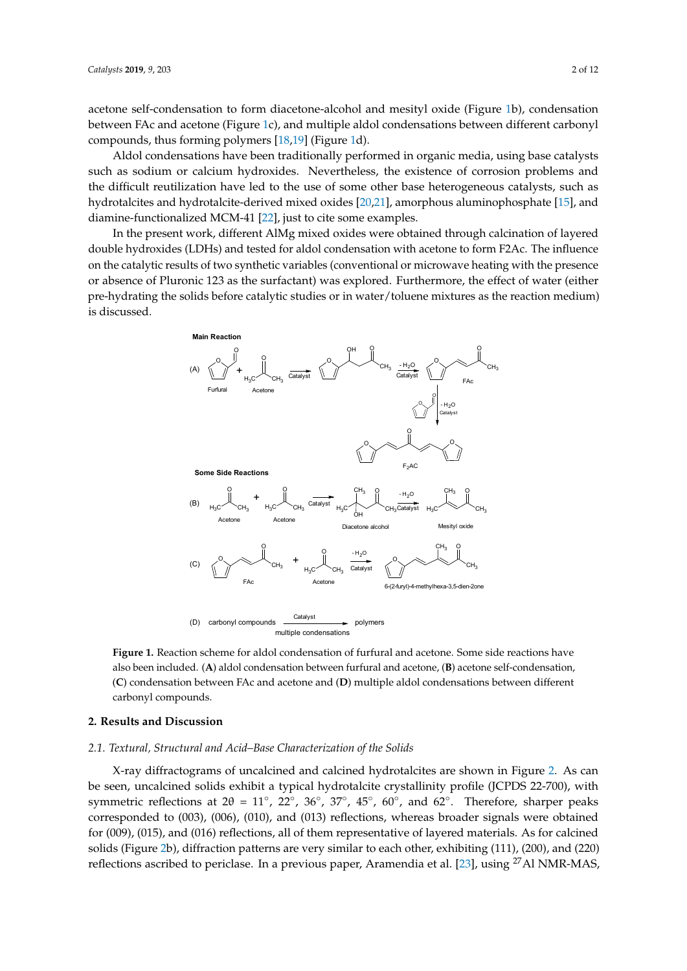acetone self-condensation to form diacetone-alcohol and mesityl oxide (Figure [1b](#page-1-0)), condensation between FAc an[d a](#page-1-0)cetone (Figure 1c), and multiple aldol condensations between different carbonyl compounds, thu[s fo](#page-11-3)[rm](#page-11-4)ing poly[m](#page-1-0)ers [18,19] (Figure 1d).

Aldol condensations have been traditionally performed in organic media, using base catalysts Aldol condensations have been traditionally performed in organic media, using base catalysts such as sodium or calcium hydroxides. Nevertheless, the existence of corrosion problems and the difficult reutilization have led to the use of some other base heterogeneous catalysts, such as difficult reutilization have led to the use of some other base heterogeneous catalysts, such as hydrotalcites and hydrotalcite-derived mixed oxides [20,21], amorphous aluminophosphate [15], and hydrotalcites and hydrotalcite-derived mixed oxide[s \[2](#page-11-5)[0,2](#page-11-6)1], amorphous aluminophosphat[e \[1](#page-11-0)5], and diamine-functionalized MCM-41 [22], just to cite some examples. diamine-functionalized MCM-4[1 \[2](#page-11-7)2], just to cite some examples.

In the present work, different AlMg mixed oxides were obtained through calcination of layered In the present work, different AlMg mixed oxides were obtained through calcination of layered double hydroxides (LDHs) and tested for aldol condensation with acetone to form F2Ac. The influence double hydroxides (LDHs) and tested for aldol condensation with acetone to form F2Ac. The on the catalytic results of two synthetic variables (conventional or microwave heating with the presence or absence of Pluronic 123 as the surfactant) was explored. Furthermore, the effect of water (either pre-hydrating the solids before catalytic studies or in water/toluene mixtures as the reaction medium) is discussed.

<span id="page-1-0"></span>

also been included. (**A**) aldol condensation between furfural and acetone, (**B**) acetone self-condensation, (C) condensation between FAc and acetone and (D) multiple aldol condensations between different carbonyl compounds. **C**<sub>(</sub>**C**) multiple and (*C*) multiple and (*C*) multiple and (*C*) multiple and (*C*) multiple and (*C*) multiple and (*C*) multiple and (*C*) multiple and (*C*) multiple and (*C*) mu **Figure 1.** Reaction scheme for aldol condensation of furfural and acetone. Some side reactions have

# 2. Results and Discussion

# **2. Results and Discussion**  *2.1. Textural, Structural and Acid–Base Characterization of the Solids*

*2.1. Textural, Structural and Acid–Base Characterization of the Solids*  X-ray diffractograms of uncalcined and calcined hydrotalcites are shown in Figure [2.](#page-2-0) As can be seen, uncalcined solids exhibit a typical hydrotalcite crystallinity profile (JCPDS 22-700), with  $\frac{1}{2}$ symmetric reflections at  $2\theta = 11°$ ,  $22°$ ,  $36°$ ,  $37°$ ,  $45°$ ,  $60°$ , and  $62°$ . Therefore, sharper peaks corresponded to (003), (006), (010), and (013) reflections, whereas broader signals were obtained  $\frac{1}{2}$ .  $\frac{1}{2}$ for (009), (015), and (016) reflections, all of them representative of layered materials. As for calcined  $\frac{11}{1000}$ ,  $\frac{1}{1000}$ solids (Figure [2b](#page-2-0)), diffraction patterns are very similar to each other, exhibiting (111), (200), and (220)<br>Calcined solids the material solid solid solid solid solid solid solid solid solid solid solid solid solid sol reflections ascribed to periclase. In a previous paper, Aramendia et al. [\[23\]](#page-11-8), using <sup>27</sup>Al NMR-MAS,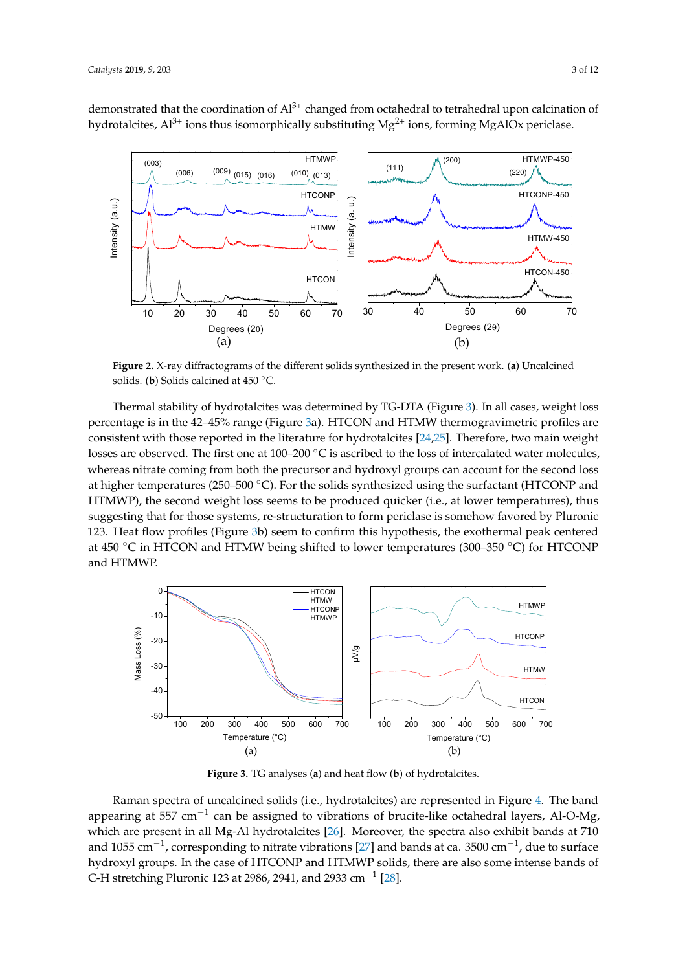demonstrated that the coordination of Al<sup>3+</sup> changed from octahedral to tetrahedral upon calcination of hydrotalcites,  $Al^{3+}$  ions thus isomorphically substituting  $Mg^{2+}$  ions, forming MgAlOx periclase.

<span id="page-2-0"></span>

solids. (b) Solids calcined at  $450\text{ °C}$ . **Figure 2.** X-ray diffractograms of the different solids synthesized in the present work. (**a**) Uncalcined

percentage is in the 42–45% range (Figure 3a). HTCON and HTMW thermogravimetric profiles are consistent with those reported in the literature for hydrotalcites [\[24](#page-11-9)[,25\]](#page-11-10). Therefore, two main weight losses are observed. The first one at 100–200  $^{\circ}$ C is ascribed to the loss of intercalated water molecules, whereas nitrate coming from both the precursor and hydroxyl groups can account for the second loss at higher temperatures (250–500  $^{\circ}$ C). For the solids synthesized using the surfactant (HTCONP and HTMWP), the second weight loss seems to be produced quicker (i.e., at lower temperatures), thus suggesting that for those systems, re-structuration to form periclase is somehow favored by Pluronic 123. Heat flow profiles (Figure 3b) seem to confirm this hypothesis, the exothermal peak centered at 450 °C in HTCON and HTMW being shifted to lower temperatures (300–350 °C) for HTCONP exothermal peak centered at 450 °C in HTCON and HTMW being shifted to lower temperatures (300– Thermal stability of hydrotalcites was determined by TG-DTA (Figure [3\)](#page-2-1). In all cases, weight loss and HTMWP. reas nitrate coming from both the precursor and hydroxyl groups can account for the precursor

<span id="page-2-1"></span>

**Figure 3.** TG analyses (**a**) and heat flow (**b**) of hydrotalcites.

which are present in all Mg-Al hydrotalcites [\[26\]](#page-11-11). Moreover, the spectra also exhibit bands at 710 hydroxyl groups. In the case of HTCONP and HTMWP solids, there are also some intense bands of C-H stretching Pluronic 123 at 2986, 2941, and 2933 cm<sup>-1</sup> [\[28\]](#page-11-13). are present in all  $\alpha$  hydrotalcites  $\alpha$ . Moreover, the spectra also exhibit bands at  $710$ Raman spectra of uncalcined solids (i.e., hydrotalcites) are represented in Figure [4.](#page-3-0) The band appearing at 557 cm<sup>-1</sup> can be assigned to vibrations of brucite-like octahedral layers, Al-O-Mg, are present in all  $M_5$  Al hydrotalcites  $[26]$ . Moreover, the spectra also exhibit bands at  $710$ and 1055 cm<sup>-1</sup>, corresponding to nitrate vibrations [\[27\]](#page-11-12) and bands at ca. 3500 cm<sup>-1</sup>, due to surface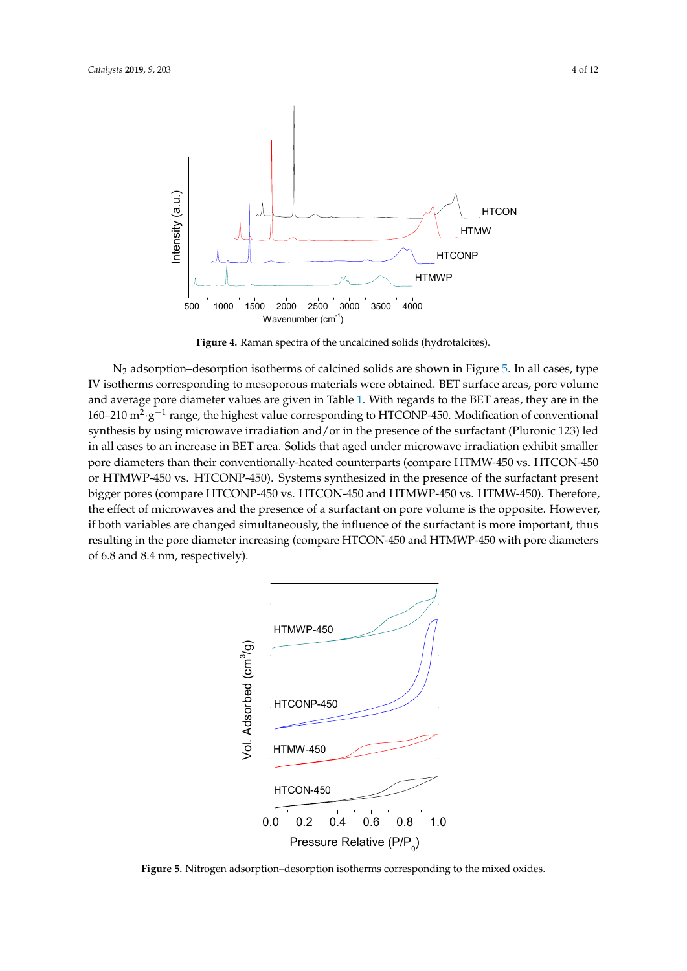<span id="page-3-0"></span>

**Figure 4.** Raman spectra of the uncalcined solids (hydrotalcites). **Figure 4.** Raman spectra of the uncalcined solids (hydrotalcites). **Figure 4.** Raman spectra of the uncalcined solids (hydrotalcites).

 $N_2$  adsorption–desorption isotherms of calcined solids are shown in Figure [5.](#page-3-1) In all cases, type IV isotherms corresponding to mesoporous materials were obtained. BET surface areas, pore volume and average pore diameter values are given in Table [1.](#page-4-0) With regards to the BET areas, they are in the 160-210  $m^2 \cdot g^{-1}$  range, the highest value corresponding to HTCONP-450. Modification of conventional synthesis by using microwave irradiation and/or in the presence of the surfactant (Pluronic 123) led in all cases to an increase in BET area. Solids that aged under microwave irradiation exhibit smaller pore diameters than their conventionally-heated counterparts (compare HTMW-450 vs. HTCON-450  $\frac{1}{2}$  HTMWP-450 vs. HTCONP-450 systems synthesized in the presentation of the surfactor of the surfactor presented in the surface of the surface of the surface of the surface of the surface of the surface of the surfa or HTMWP-450 vs. HTCONP-450). Systems synthesized in the presence of the surfactant present bigger pores (compare HTCONP-450 vs. HTCON-450 and HTMWP-450 vs. HTMW-450). Therefore, the effect of microwaves and the presence of a surfactant on pore volume is the opposite. However, if both variables are changed simultaneously, the influence of the surfactant is more important, thus resulting in the pore diameter increasing (compare HTCON-450 and HTMWP-450 with pore diameters of 6.8 and 8.4 nm, respectively).

<span id="page-3-1"></span>

**Figure 5.** Nitrogen adsorption–desorption isotherms corresponding to the mixed oxides. **Figure 5.** Nitrogen adsorption–desorption isotherms corresponding to the mixed oxides.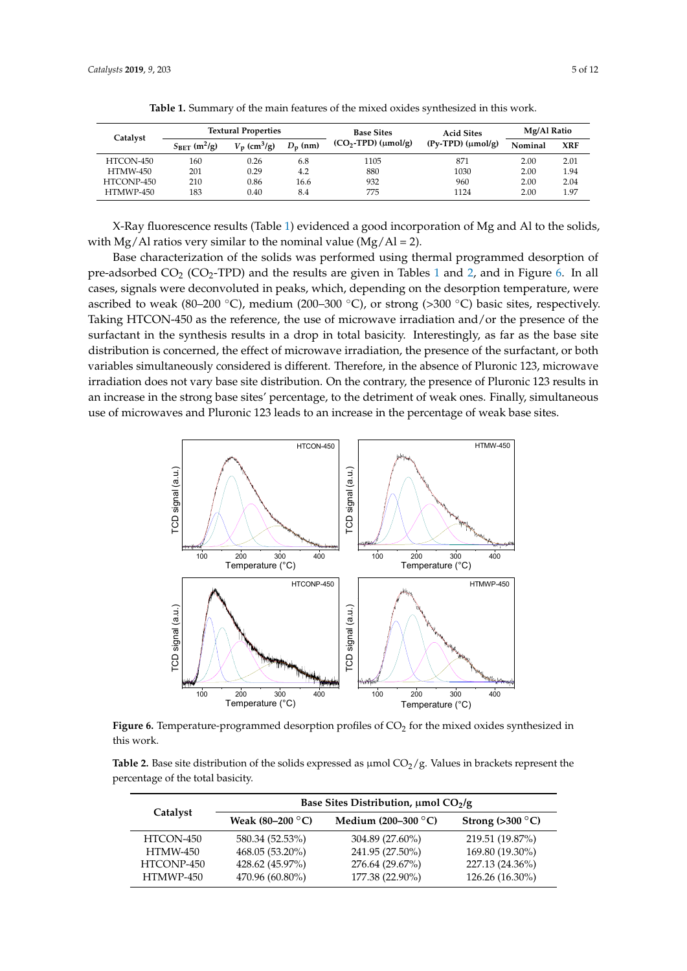<span id="page-4-0"></span>

| Catalyst        | <b>Textural Properties</b>        |                            |            | <b>Base Sites</b>      | <b>Acid Sites</b>         | Mg/Al Ratio |            |
|-----------------|-----------------------------------|----------------------------|------------|------------------------|---------------------------|-------------|------------|
|                 | $S_{\rm BFT}$ (m <sup>2</sup> /g) | $V_p$ (cm <sup>3</sup> /g) | $D_n$ (nm) | $(CO2-TPD)(\mu mol/g)$ | $(Py-TPD)$ ( $\mu$ mol/g) | Nominal     | <b>XRF</b> |
| HTCON-450       | 160                               | 0.26                       | 6.8        | 1105                   | 871                       | 2.00        | 2.01       |
| <b>HTMW-450</b> | 201                               | 0.29                       | 4.2        | 880                    | 1030                      | 2.00        | 1.94       |
| HTCONP-450      | 210                               | 0.86                       | 16.6       | 932                    | 960                       | 2.00        | 2.04       |
| HTMWP-450       | 183                               | 0.40                       | 8.4        | 775                    | 1124                      | 2.00        | 1.97       |

**Table 1.** Summary of the main features of the mixed oxides synthesized in this work.

X-Ray fluorescence results (Table [1\)](#page-4-0) evidenced a good incorporation of Mg and Al to the solids, X-Ray fluorescence results (Table 1) evidenced a good incorporation of Mg and Al to the solids, with Mg/Al ratios very similar to the nominal value  $(Mg/Al = 2)$ .

Base characterization of the solids was performed using thermal programmed desorption of pre-adsorbe[d](#page-4-1)  $CO_2$  (CO<sub>2</sub>-TPD) and the results are given in Tables 1 and 2, and in Figure [6.](#page-4-2) In all cases, signals were deconvoluted in peaks, which, depending on the desorption temperature, were ascribed to weak (80–200 °C), medium (200–300 °C), or strong (>300 °C) basic sites, respectively. Taking HTCON-450 as the reference, the use of microwave irradiation and/or the presence of the surfactant in the synthesis results in a drop in total basicity. Interestingly, as far as the base site distribution is concerned, the effect of microwave irradiation, the presence of the surfactant, or both variables simultaneously considered is different. Therefore, in the absence of Pluronic 123, microwave irradiation does not vary base site distribution. On the contrary, the presence of Pluronic 123 results in irradiation does not vary base site distribution. On the contrary, the presence of Pluronic 123 results an increase in the strong base sites' percentage, to the detriment of weak ones. Finally, simultaneous use of microwaves and Pluronic 123 leads to an increase in the percentage of weak base sites.

<span id="page-4-2"></span>

**Figure 6.** Temperature-programmed desorption profiles of CO<sub>2</sub> for the mixed oxides synthesized in work. this work.

<span id="page-4-1"></span>percentage of the total basicity. **Table 2.** Base site distribution of the solids expressed as  $\mu$ mol  $CO<sub>2</sub>/g$ . Values in brackets represent the

|                 | Base Sites Distribution, $\mu$ mol CO <sub>2</sub> /g |                              |                          |  |  |  |  |
|-----------------|-------------------------------------------------------|------------------------------|--------------------------|--|--|--|--|
| Catalyst        | Weak $(80-200$ °C)                                    | Medium (200–300 $\degree$ C) | Strong $(>300\degree C)$ |  |  |  |  |
| HTCON-450       | 580.34 (52.53%)                                       | 304.89 (27.60%)              | 219.51 (19.87%)          |  |  |  |  |
| <b>HTMW-450</b> | 468.05 (53.20%)                                       | 241.95 (27.50%)              | 169.80 (19.30%)          |  |  |  |  |
| HTCONP-450      | 428.62 (45.97%)                                       | 276.64 (29.67%)              | 227.13 (24.36%)          |  |  |  |  |
| HTMWP-450       | 470.96 (60.80%)                                       | 177.38 (22.90%)              | 126.26 (16.30%)          |  |  |  |  |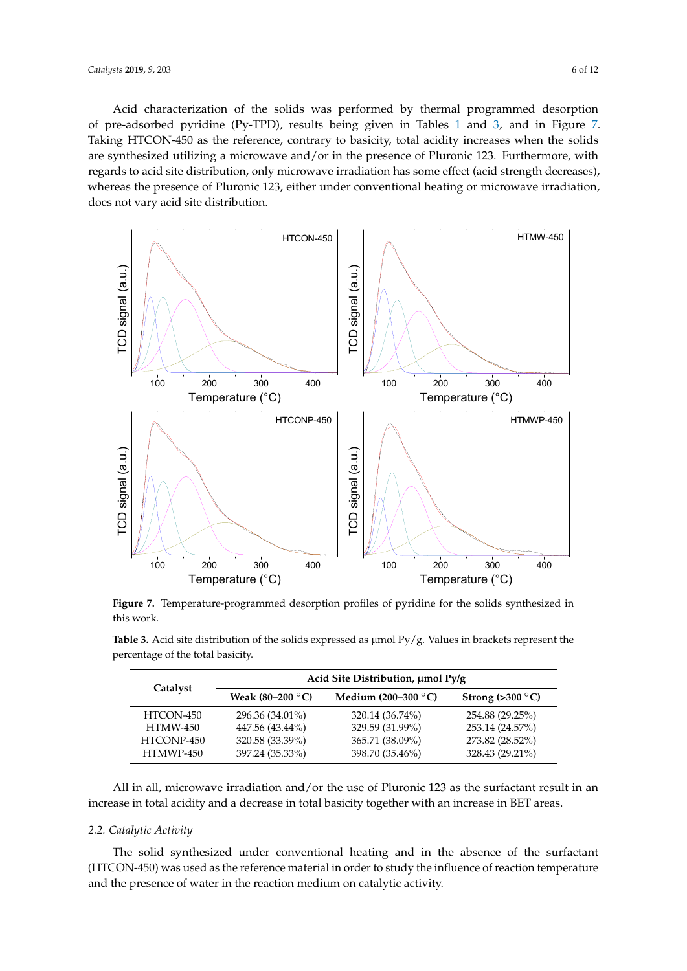Acid characterization of the solids was performed by thermal programmed desorption of pre-adsorbed pyridine (Py-TPD), results being given in Tables [1](#page-4-0) and [3,](#page-5-0) and in Figure [7.](#page-5-1) Taking HTCON-450 as the reference, contrary to basicity, total acidity increases when the solids are synthesized utilizing a microwave and/or in the presence of Pluronic 123. Furthermore, with regards to acid site distribution, only microwave irradiation has some effect (acid strength decreases), whereas the presence of Pluronic 123, either under conventional heating or microwave irradiation, does not vary acid site distribution.  $\frac{1}{2}$  in a line is distribution and  $\frac{1}{2}$  as the surfactor  $\frac{1}{2}$ 

<span id="page-5-1"></span>

**Figure 7.** Temperature-programmed desorption profiles of pyridine for the solids synthesized in this intervals of the solids synthesized in this work.

<span id="page-5-0"></span>percentage of the total basicity. **The solution of the solution of the solution of the solution of the solution Table 3.** Acid site distribution of the solids expressed as  $\mu$ mol Py/g. Values in brackets represent the

|                 | Acid Site Distribution, µmol Py/g |                       |                          |  |  |  |  |
|-----------------|-----------------------------------|-----------------------|--------------------------|--|--|--|--|
| Catalyst        | Weak $(80-200$ °C)                | Medium $(200-300$ °C) | Strong $(>300\degree C)$ |  |  |  |  |
| HTCON-450       | 296.36 (34.01%)                   | 320.14 (36.74%)       | 254.88 (29.25%)          |  |  |  |  |
| <b>HTMW-450</b> | 447.56 (43.44%)                   | 329.59 (31.99%)       | 253.14 (24.57%)          |  |  |  |  |
| HTCONP-450      | 320.58 (33.39%)                   | 365.71 (38.09%)       | 273.82 (28.52%)          |  |  |  |  |
| HTMWP-450       | 397.24 (35.33%)                   | 398.70 (35.46%)       | 328.43 (29.21%)          |  |  |  |  |

*2.2. Catalytic Activity*  All in all, microwave irradiation and/or the use of Pluronic 123 as the surfactant result in an  $T_{\rm eff}$  synthesized under conventional heating and in the absence of the surfactant (HTCONincrease in total acidity and a decrease in total basicity together with an increase in BET areas.

### 450) was used as the reference material in order to study the influence of reaction temperature and *2.2. Catalytic Activity*

The solid synthesized under conventional heating and in the absence of the surfactant (HTCON-450) was used as the reference material in order to study the influence of reaction temperature and the presence of water in the reaction medium on catalytic activity.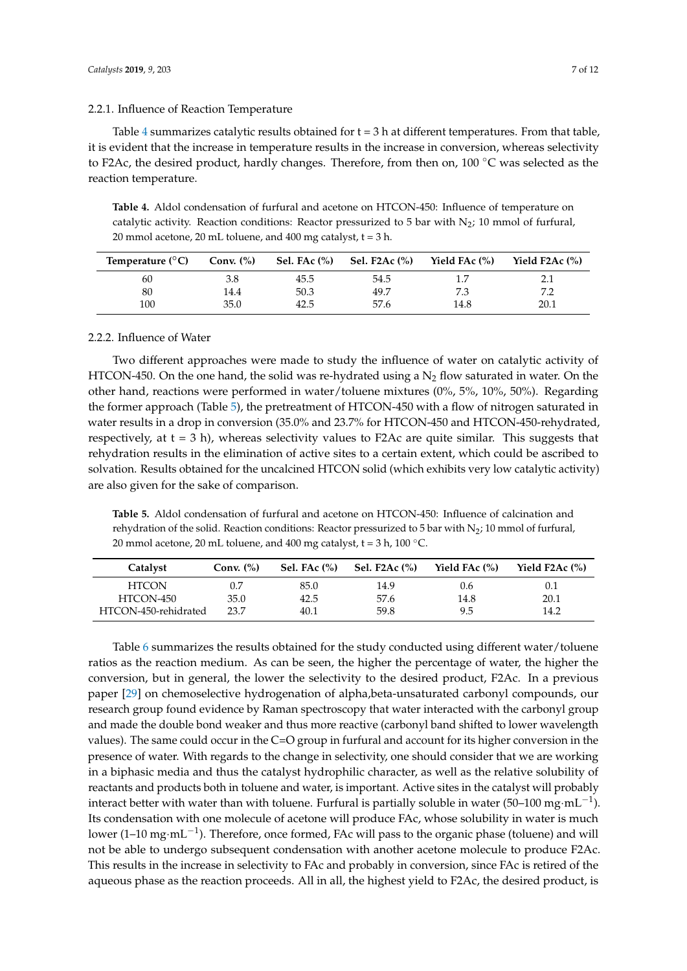### 2.2.1. Influence of Reaction Temperature

Table [4](#page-6-0) summarizes catalytic results obtained for  $t = 3$  h at different temperatures. From that table, it is evident that the increase in temperature results in the increase in conversion, whereas selectivity to F2Ac, the desired product, hardly changes. Therefore, from then on, 100 ℃ was selected as the reaction temperature.

<span id="page-6-0"></span>**Table 4.** Aldol condensation of furfural and acetone on HTCON-450: Influence of temperature on catalytic activity. Reaction conditions: Reactor pressurized to 5 bar with  $N_2$ ; 10 mmol of furfural, 20 mmol acetone, 20 mL toluene, and 400 mg catalyst,  $t = 3$  h.

| Temperature $(^{\circ}C)$ | Conv. $(\%)$ | Sel. FAc (%) | <b>Sel. F2Ac (%)</b> | Yield FAc (%) | Yield $F2Ac$ $\frac{6}{6}$ |
|---------------------------|--------------|--------------|----------------------|---------------|----------------------------|
| 60                        | 3.8          | 45.5         | 54.5                 | 1.7           |                            |
| 80                        | 14.4         | 50.3         | 49.7                 | 7.3           | 79                         |
| 100                       | 35.0         | 42.5         | 57.6                 | 14.8          | 20.1                       |

# 2.2.2. Influence of Water

Two different approaches were made to study the influence of water on catalytic activity of HTCON-450. On the one hand, the solid was re-hydrated using a  $N_2$  flow saturated in water. On the other hand, reactions were performed in water/toluene mixtures (0%, 5%, 10%, 50%). Regarding the former approach (Table [5\)](#page-6-1), the pretreatment of HTCON-450 with a flow of nitrogen saturated in water results in a drop in conversion (35.0% and 23.7% for HTCON-450 and HTCON-450-rehydrated, respectively, at  $t = 3$  h), whereas selectivity values to F2Ac are quite similar. This suggests that rehydration results in the elimination of active sites to a certain extent, which could be ascribed to solvation. Results obtained for the uncalcined HTCON solid (which exhibits very low catalytic activity) are also given for the sake of comparison.

<span id="page-6-1"></span>**Table 5.** Aldol condensation of furfural and acetone on HTCON-450: Influence of calcination and rehydration of the solid. Reaction conditions: Reactor pressurized to 5 bar with  $\mathrm{N}_2$ ; 10 mmol of furfural, 20 mmol acetone, 20 mL toluene, and 400 mg catalyst,  $t = 3 h$ , 100 °C.

| Catalyst             | Conv. $(\%)$ | Sel. FAc $(\% )$ | <b>Sel. F2Ac (%)</b> | Yield FAc (%) | Yield $F2Ac$ $\frac{6}{6}$ |
|----------------------|--------------|------------------|----------------------|---------------|----------------------------|
| <b>HTCON</b>         | 0.7          | 85.0             | 14.9                 | 0.6           | 0.1                        |
| HTCON-450            | 35.0         | 42.5             | 57.6                 | 14.8          | 20.1                       |
| HTCON-450-rehidrated | 23.7         | 40.1             | 59.8                 | 9.5           | 14.2                       |

Table [6](#page-7-0) summarizes the results obtained for the study conducted using different water/toluene ratios as the reaction medium. As can be seen, the higher the percentage of water, the higher the conversion, but in general, the lower the selectivity to the desired product, F2Ac. In a previous paper [\[29\]](#page-11-14) on chemoselective hydrogenation of alpha,beta-unsaturated carbonyl compounds, our research group found evidence by Raman spectroscopy that water interacted with the carbonyl group and made the double bond weaker and thus more reactive (carbonyl band shifted to lower wavelength values). The same could occur in the C=O group in furfural and account for its higher conversion in the presence of water. With regards to the change in selectivity, one should consider that we are working in a biphasic media and thus the catalyst hydrophilic character, as well as the relative solubility of reactants and products both in toluene and water, is important. Active sites in the catalyst will probably interact better with water than with toluene. Furfural is partially soluble in water (50–100 mg·mL<sup>-1</sup>). Its condensation with one molecule of acetone will produce FAc, whose solubility in water is much lower (1–10 mg·mL<sup>-1</sup>). Therefore, once formed, FAc will pass to the organic phase (toluene) and will not be able to undergo subsequent condensation with another acetone molecule to produce F2Ac. This results in the increase in selectivity to FAc and probably in conversion, since FAc is retired of the aqueous phase as the reaction proceeds. All in all, the highest yield to F2Ac, the desired product, is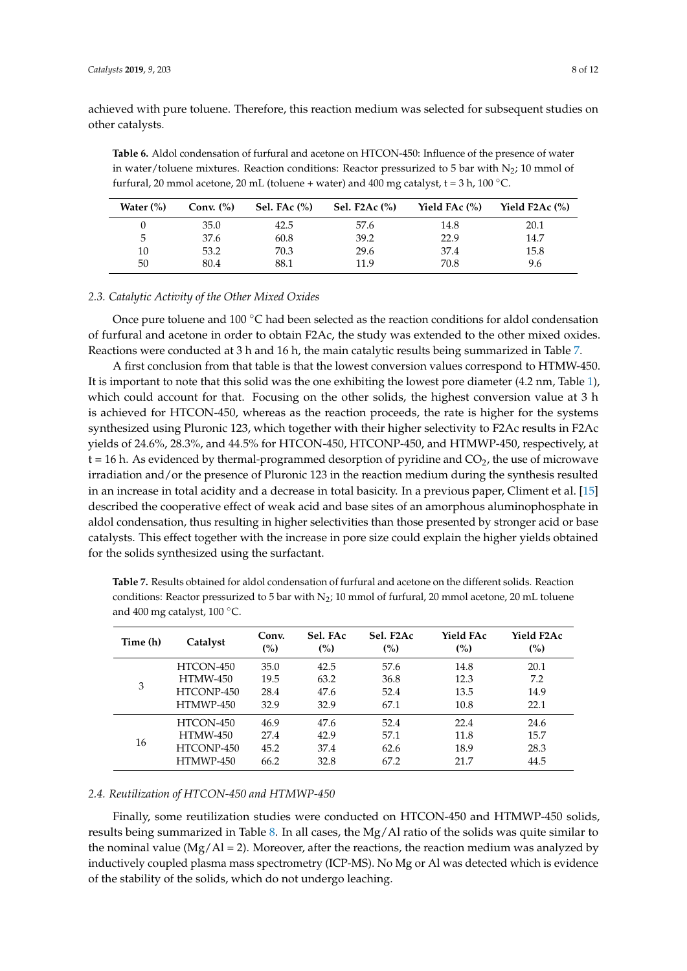achieved with pure toluene. Therefore, this reaction medium was selected for subsequent studies on other catalysts.

<span id="page-7-0"></span>**Table 6.** Aldol condensation of furfural and acetone on HTCON-450: Influence of the presence of water in water/toluene mixtures. Reaction conditions: Reactor pressurized to 5 bar with  $N_2$ ; 10 mmol of furfural, 20 mmol acetone, 20 mL (toluene + water) and 400 mg catalyst,  $t = 3 h$ , 100 °C.

| Water $(\%)$ | Conv. $(\%)$ | Sel. FAc $(\% )$ | Sel. F2Ac $(\%)$ | Yield FAc $(\%)$ | Yield F2Ac $(\%)$ |
|--------------|--------------|------------------|------------------|------------------|-------------------|
|              | 35.0         | 42.5             | 57.6             | 14.8             | 20.1              |
| 5            | 37.6         | 60.8             | 39.2             | 22.9             | 14.7              |
| 10           | 53.2         | 70.3             | 29.6             | 37.4             | 15.8              |
| 50           | 80.4         | 88.1             | 11.9             | 70.8             | 9.6               |

#### *2.3. Catalytic Activity of the Other Mixed Oxides*

Once pure toluene and 100  $\degree$ C had been selected as the reaction conditions for aldol condensation of furfural and acetone in order to obtain F2Ac, the study was extended to the other mixed oxides. Reactions were conducted at 3 h and 16 h, the main catalytic results being summarized in Table [7.](#page-7-1)

A first conclusion from that table is that the lowest conversion values correspond to HTMW-450. It is important to note that this solid was the one exhibiting the lowest pore diameter (4.2 nm, Table [1\)](#page-4-0), which could account for that. Focusing on the other solids, the highest conversion value at 3 h is achieved for HTCON-450, whereas as the reaction proceeds, the rate is higher for the systems synthesized using Pluronic 123, which together with their higher selectivity to F2Ac results in F2Ac yields of 24.6%, 28.3%, and 44.5% for HTCON-450, HTCONP-450, and HTMWP-450, respectively, at  $t = 16$  h. As evidenced by thermal-programmed desorption of pyridine and  $CO<sub>2</sub>$ , the use of microwave irradiation and/or the presence of Pluronic 123 in the reaction medium during the synthesis resulted in an increase in total acidity and a decrease in total basicity. In a previous paper, Climent et al. [\[15\]](#page-11-0) described the cooperative effect of weak acid and base sites of an amorphous aluminophosphate in aldol condensation, thus resulting in higher selectivities than those presented by stronger acid or base catalysts. This effect together with the increase in pore size could explain the higher yields obtained for the solids synthesized using the surfactant.

<span id="page-7-1"></span>**Table 7.** Results obtained for aldol condensation of furfural and acetone on the different solids. Reaction conditions: Reactor pressurized to 5 bar with  $N_2$ ; 10 mmol of furfural, 20 mmol acetone, 20 mL toluene and 400 mg catalyst, 100 ◦C.

| Time (h) | Catalyst        | Conv.<br>(%) | Sel. FAc<br>(%) | Sel. F2Ac<br>(%) | Yield FAc<br>(%) | Yield F2Ac<br>(%) |
|----------|-----------------|--------------|-----------------|------------------|------------------|-------------------|
| 3        | HTCON-450       | 35.0         | 42.5            | 57.6             | 14.8             | 20.1              |
|          | <b>HTMW-450</b> | 19.5         | 63.2            | 36.8             | 12.3             | 7.2               |
|          | HTCONP-450      | 28.4         | 47.6            | 52.4             | 13.5             | 14.9              |
|          | HTMWP-450       | 32.9         | 32.9            | 67.1             | 10.8             | 22.1              |
| 16       | HTCON-450       | 46.9         | 47.6            | 52.4             | 22.4             | 24.6              |
|          | HTMW-450        | 27.4         | 42.9            | 57.1             | 11.8             | 15.7              |
|          | HTCONP-450      | 45.2         | 37.4            | 62.6             | 18.9             | 28.3              |
|          | HTMWP-450       | 66.2         | 32.8            | 67.2             | 21.7             | 44.5              |

#### *2.4. Reutilization of HTCON-450 and HTMWP-450*

Finally, some reutilization studies were conducted on HTCON-450 and HTMWP-450 solids, results being summarized in Table [8.](#page-8-0) In all cases, the Mg/Al ratio of the solids was quite similar to the nominal value ( $Mg/Al = 2$ ). Moreover, after the reactions, the reaction medium was analyzed by inductively coupled plasma mass spectrometry (ICP-MS). No Mg or Al was detected which is evidence of the stability of the solids, which do not undergo leaching.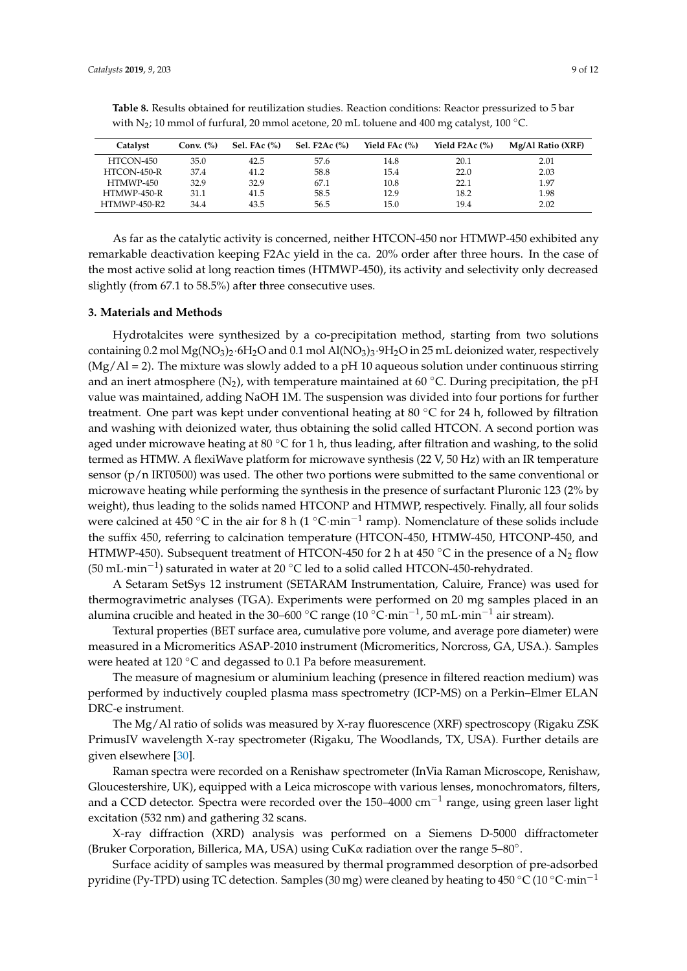| Catalyst            | Conv. $(\%)$ | Sel. FA $c$ $\%$ ) | Sel. F2Ac $(\%)$ | Yield FAc (%) | Yield $F2Ac$ $(\%)$ | Mg/Al Ratio (XRF) |
|---------------------|--------------|--------------------|------------------|---------------|---------------------|-------------------|
| HTCON-450           | 35.0         | 42.5               | 57.6             | 14.8          | 20.1                | 2.01              |
| HTCON-450-R         | 37.4         | 41.2               | 58.8             | 15.4          | 22.0                | 2.03              |
| HTMWP-450           | 32.9         | 32.9               | 67.1             | 10.8          | 22.1                | 1.97              |
| HTMWP-450-R         | 31.1         | 41.5               | 58.5             | 12.9          | 18.2                | 1.98              |
| <b>HTMWP-450-R2</b> | 34.4         | 43.5               | 56.5             | 15.0          | 19.4                | 2.02              |

<span id="page-8-0"></span>**Table 8.** Results obtained for reutilization studies. Reaction conditions: Reactor pressurized to 5 bar with N<sub>2</sub>; 10 mmol of furfural, 20 mmol acetone, 20 mL toluene and 400 mg catalyst, 100 °C.

As far as the catalytic activity is concerned, neither HTCON-450 nor HTMWP-450 exhibited any remarkable deactivation keeping F2Ac yield in the ca. 20% order after three hours. In the case of the most active solid at long reaction times (HTMWP-450), its activity and selectivity only decreased slightly (from 67.1 to 58.5%) after three consecutive uses.

#### **3. Materials and Methods**

Hydrotalcites were synthesized by a co-precipitation method, starting from two solutions containing 0.2 mol  $Mg(NO<sub>3</sub>)<sub>2</sub>·6H<sub>2</sub>O$  and 0.1 mol Al( $NO<sub>3</sub>)<sub>3</sub>·9H<sub>2</sub>O$  in 25 mL deionized water, respectively  $(Mg/AI = 2)$ . The mixture was slowly added to a pH 10 aqueous solution under continuous stirring and an inert atmosphere ( $N_2$ ), with temperature maintained at 60 °C. During precipitation, the pH value was maintained, adding NaOH 1M. The suspension was divided into four portions for further treatment. One part was kept under conventional heating at 80  $\degree$ C for 24 h, followed by filtration and washing with deionized water, thus obtaining the solid called HTCON. A second portion was aged under microwave heating at 80  $\degree$ C for 1 h, thus leading, after filtration and washing, to the solid termed as HTMW. A flexiWave platform for microwave synthesis (22 V, 50 Hz) with an IR temperature sensor (p/n IRT0500) was used. The other two portions were submitted to the same conventional or microwave heating while performing the synthesis in the presence of surfactant Pluronic 123 (2% by weight), thus leading to the solids named HTCONP and HTMWP, respectively. Finally, all four solids were calcined at 450 °C in the air for 8 h (1 °C·min<sup>-1</sup> ramp). Nomenclature of these solids include the suffix 450, referring to calcination temperature (HTCON-450, HTMW-450, HTCONP-450, and HTMWP-450). Subsequent treatment of HTCON-450 for 2 h at 450 °C in the presence of a N<sub>2</sub> flow (50 mL·min<sup>-1</sup>) saturated in water at 20 °C led to a solid called HTCON-450-rehydrated.

A Setaram SetSys 12 instrument (SETARAM Instrumentation, Caluire, France) was used for thermogravimetric analyses (TGA). Experiments were performed on 20 mg samples placed in an alumina crucible and heated in the 30–600 °C range (10 °C·min $^{-1}$ , 50 mL·min $^{-1}$  air stream).

Textural properties (BET surface area, cumulative pore volume, and average pore diameter) were measured in a Micromeritics ASAP-2010 instrument (Micromeritics, Norcross, GA, USA.). Samples were heated at 120 ℃ and degassed to 0.1 Pa before measurement.

The measure of magnesium or aluminium leaching (presence in filtered reaction medium) was performed by inductively coupled plasma mass spectrometry (ICP-MS) on a Perkin–Elmer ELAN DRC-e instrument.

The Mg/Al ratio of solids was measured by X-ray fluorescence (XRF) spectroscopy (Rigaku ZSK PrimusIV wavelength X-ray spectrometer (Rigaku, The Woodlands, TX, USA). Further details are given elsewhere [\[30\]](#page-11-15).

Raman spectra were recorded on a Renishaw spectrometer (InVia Raman Microscope, Renishaw, Gloucestershire, UK), equipped with a Leica microscope with various lenses, monochromators, filters, and a CCD detector. Spectra were recorded over the 150–4000 cm<sup>-1</sup> range, using green laser light excitation (532 nm) and gathering 32 scans.

X-ray diffraction (XRD) analysis was performed on a Siemens D-5000 diffractometer (Bruker Corporation, Billerica, MA, USA) using CuK $\alpha$  radiation over the range 5-80 $^{\circ}$ .

Surface acidity of samples was measured by thermal programmed desorption of pre-adsorbed pyridine (Py-TPD) using TC detection. Samples (30 mg) were cleaned by heating to 450 °C (10 °C·min<sup>-1</sup>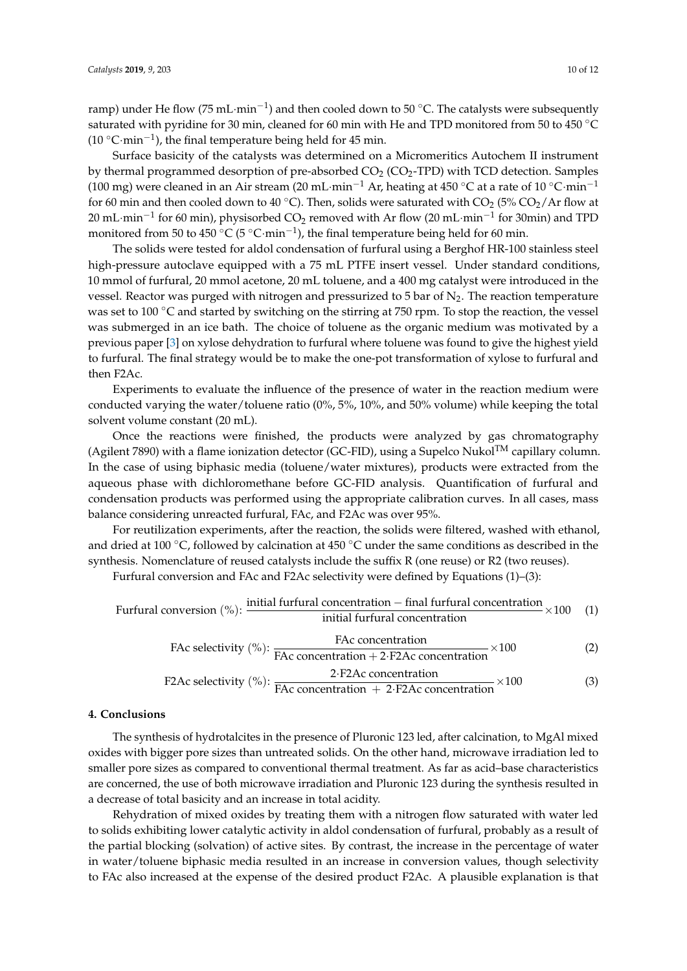ramp) under He flow (75 mL·min<sup>-1</sup>) and then cooled down to 50 °C. The catalysts were subsequently saturated with pyridine for 30 min, cleaned for 60 min with He and TPD monitored from 50 to 450 ◦C (10 °C·min<sup>-1</sup>), the final temperature being held for 45 min.

Surface basicity of the catalysts was determined on a Micromeritics Autochem II instrument by thermal programmed desorption of pre-absorbed  $CO<sub>2</sub>$  (CO<sub>2</sub>-TPD) with TCD detection. Samples (100 mg) were cleaned in an Air stream (20 mL·min<sup>-1</sup> Ar, heating at 450 °C at a rate of 10 °C·min<sup>-1</sup> for 60 min and then cooled down to 40 °C). Then, solids were saturated with  $CO_2$  (5%  $CO_2/Ar$  flow at 20 mL·min<sup>−1</sup> for 60 min), physisorbed CO<sub>2</sub> removed with Ar flow (20 mL·min<sup>−1</sup> for 30min) and TPD monitored from 50 to 450 °C (5 °C·min<sup>-1</sup>), the final temperature being held for 60 min.

The solids were tested for aldol condensation of furfural using a Berghof HR-100 stainless steel high-pressure autoclave equipped with a 75 mL PTFE insert vessel. Under standard conditions, 10 mmol of furfural, 20 mmol acetone, 20 mL toluene, and a 400 mg catalyst were introduced in the vessel. Reactor was purged with nitrogen and pressurized to  $5$  bar of  $N_2$ . The reaction temperature was set to 100 ℃ and started by switching on the stirring at 750 rpm. To stop the reaction, the vessel was submerged in an ice bath. The choice of toluene as the organic medium was motivated by a previous paper [\[3\]](#page-10-2) on xylose dehydration to furfural where toluene was found to give the highest yield to furfural. The final strategy would be to make the one-pot transformation of xylose to furfural and then F2Ac.

Experiments to evaluate the influence of the presence of water in the reaction medium were conducted varying the water/toluene ratio (0%, 5%, 10%, and 50% volume) while keeping the total solvent volume constant (20 mL).

Once the reactions were finished, the products were analyzed by gas chromatography (Agilent 7890) with a flame ionization detector (GC-FID), using a Supelco Nukol<sup>TM</sup> capillary column. In the case of using biphasic media (toluene/water mixtures), products were extracted from the aqueous phase with dichloromethane before GC-FID analysis. Quantification of furfural and condensation products was performed using the appropriate calibration curves. In all cases, mass balance considering unreacted furfural, FAc, and F2Ac was over 95%.

For reutilization experiments, after the reaction, the solids were filtered, washed with ethanol, and dried at 100 ◦C, followed by calcination at 450 ◦C under the same conditions as described in the synthesis. Nomenclature of reused catalysts include the suffix R (one reuse) or R2 (two reuses).

Furfural conversion and FAc and F2Ac selectivity were defined by Equations (1)–(3):

Furfural conversion (%): initial furfural concentration − final furfural concentration initial furfural concentration <sup>×</sup>100 (1)

$$
FAc\,\text{selectivity}\,\,(\%): \frac{\text{FAc}\,\text{concentration}}{\text{FAc}\,\text{concentration} + 2\cdot\text{F2Ac}\,\text{concentration}} \times 100\tag{2}
$$

$$
F2Ac \text{ selectivity } (\%): \frac{2 \cdot F2Ac \text{ concentration}}{FAc \text{ concentration } + 2 \cdot F2Ac \text{ concentration}} \times 100 \tag{3}
$$

# **4. Conclusions**

The synthesis of hydrotalcites in the presence of Pluronic 123 led, after calcination, to MgAl mixed oxides with bigger pore sizes than untreated solids. On the other hand, microwave irradiation led to smaller pore sizes as compared to conventional thermal treatment. As far as acid–base characteristics are concerned, the use of both microwave irradiation and Pluronic 123 during the synthesis resulted in a decrease of total basicity and an increase in total acidity.

Rehydration of mixed oxides by treating them with a nitrogen flow saturated with water led to solids exhibiting lower catalytic activity in aldol condensation of furfural, probably as a result of the partial blocking (solvation) of active sites. By contrast, the increase in the percentage of water in water/toluene biphasic media resulted in an increase in conversion values, though selectivity to FAc also increased at the expense of the desired product F2Ac. A plausible explanation is that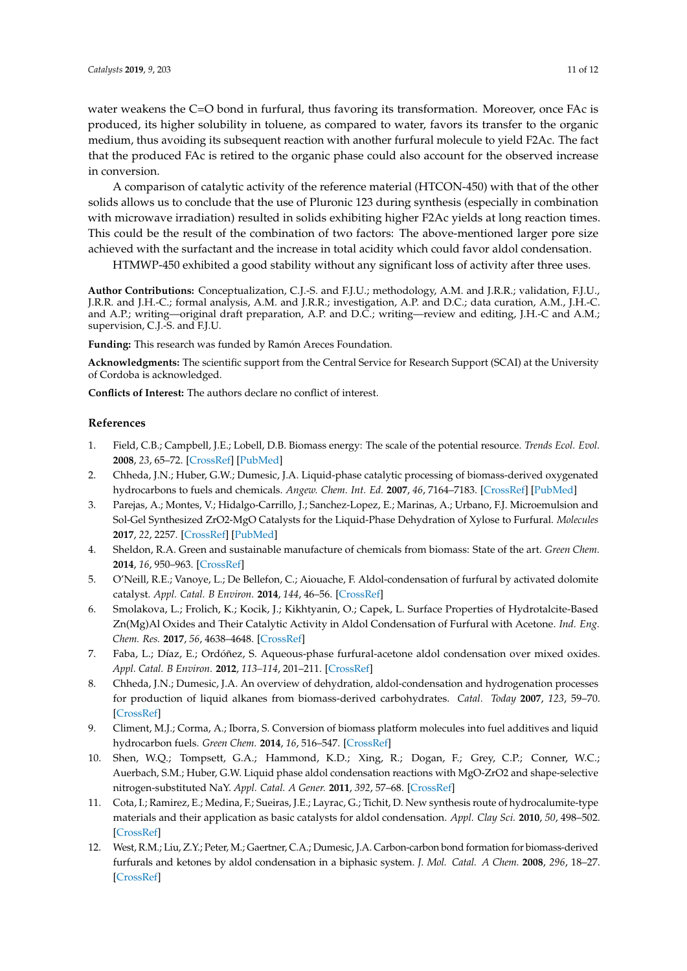water weakens the C=O bond in furfural, thus favoring its transformation. Moreover, once FAc is produced, its higher solubility in toluene, as compared to water, favors its transfer to the organic medium, thus avoiding its subsequent reaction with another furfural molecule to yield F2Ac. The fact that the produced FAc is retired to the organic phase could also account for the observed increase in conversion.

A comparison of catalytic activity of the reference material (HTCON-450) with that of the other solids allows us to conclude that the use of Pluronic 123 during synthesis (especially in combination with microwave irradiation) resulted in solids exhibiting higher F2Ac yields at long reaction times. This could be the result of the combination of two factors: The above-mentioned larger pore size achieved with the surfactant and the increase in total acidity which could favor aldol condensation.

HTMWP-450 exhibited a good stability without any significant loss of activity after three uses.

**Author Contributions:** Conceptualization, C.J.-S. and F.J.U.; methodology, A.M. and J.R.R.; validation, F.J.U., J.R.R. and J.H.-C.; formal analysis, A.M. and J.R.R.; investigation, A.P. and D.C.; data curation, A.M., J.H.-C. and A.P.; writing—original draft preparation, A.P. and D.C.; writing—review and editing, J.H.-C and A.M.; supervision, C.J.-S. and F.J.U.

**Funding:** This research was funded by Ramón Areces Foundation.

**Acknowledgments:** The scientific support from the Central Service for Research Support (SCAI) at the University of Cordoba is acknowledged.

**Conflicts of Interest:** The authors declare no conflict of interest.

#### **References**

- <span id="page-10-0"></span>1. Field, C.B.; Campbell, J.E.; Lobell, D.B. Biomass energy: The scale of the potential resource. *Trends Ecol. Evol.* **2008**, *23*, 65–72. [\[CrossRef\]](http://dx.doi.org/10.1016/j.tree.2007.12.001) [\[PubMed\]](http://www.ncbi.nlm.nih.gov/pubmed/18215439)
- <span id="page-10-1"></span>2. Chheda, J.N.; Huber, G.W.; Dumesic, J.A. Liquid-phase catalytic processing of biomass-derived oxygenated hydrocarbons to fuels and chemicals. *Angew. Chem. Int. Ed.* **2007**, *46*, 7164–7183. [\[CrossRef\]](http://dx.doi.org/10.1002/anie.200604274) [\[PubMed\]](http://www.ncbi.nlm.nih.gov/pubmed/17659519)
- <span id="page-10-2"></span>3. Parejas, A.; Montes, V.; Hidalgo-Carrillo, J.; Sanchez-Lopez, E.; Marinas, A.; Urbano, F.J. Microemulsion and Sol-Gel Synthesized ZrO2-MgO Catalysts for the Liquid-Phase Dehydration of Xylose to Furfural. *Molecules* **2017**, *22*, 2257. [\[CrossRef\]](http://dx.doi.org/10.3390/molecules22122257) [\[PubMed\]](http://www.ncbi.nlm.nih.gov/pubmed/29258246)
- <span id="page-10-3"></span>4. Sheldon, R.A. Green and sustainable manufacture of chemicals from biomass: State of the art. *Green Chem.* **2014**, *16*, 950–963. [\[CrossRef\]](http://dx.doi.org/10.1039/C3GC41935E)
- <span id="page-10-4"></span>5. O'Neill, R.E.; Vanoye, L.; De Bellefon, C.; Aiouache, F. Aldol-condensation of furfural by activated dolomite catalyst. *Appl. Catal. B Environ.* **2014**, *144*, 46–56. [\[CrossRef\]](http://dx.doi.org/10.1016/j.apcatb.2013.07.006)
- <span id="page-10-5"></span>6. Smolakova, L.; Frolich, K.; Kocik, J.; Kikhtyanin, O.; Capek, L. Surface Properties of Hydrotalcite-Based Zn(Mg)Al Oxides and Their Catalytic Activity in Aldol Condensation of Furfural with Acetone. *Ind. Eng. Chem. Res.* **2017**, *56*, 4638–4648. [\[CrossRef\]](http://dx.doi.org/10.1021/acs.iecr.6b04927)
- 7. Faba, L.; Díaz, E.; Ordóñez, S. Aqueous-phase furfural-acetone aldol condensation over mixed oxides. *Appl. Catal. B Environ.* **2012**, *113–114*, 201–211. [\[CrossRef\]](http://dx.doi.org/10.1016/j.apcatb.2011.11.039)
- <span id="page-10-6"></span>8. Chheda, J.N.; Dumesic, J.A. An overview of dehydration, aldol-condensation and hydrogenation processes for production of liquid alkanes from biomass-derived carbohydrates. *Catal. Today* **2007**, *123*, 59–70. [\[CrossRef\]](http://dx.doi.org/10.1016/j.cattod.2006.12.006)
- 9. Climent, M.J.; Corma, A.; Iborra, S. Conversion of biomass platform molecules into fuel additives and liquid hydrocarbon fuels. *Green Chem.* **2014**, *16*, 516–547. [\[CrossRef\]](http://dx.doi.org/10.1039/c3gc41492b)
- 10. Shen, W.Q.; Tompsett, G.A.; Hammond, K.D.; Xing, R.; Dogan, F.; Grey, C.P.; Conner, W.C.; Auerbach, S.M.; Huber, G.W. Liquid phase aldol condensation reactions with MgO-ZrO2 and shape-selective nitrogen-substituted NaY. *Appl. Catal. A Gener.* **2011**, *392*, 57–68. [\[CrossRef\]](http://dx.doi.org/10.1016/j.apcata.2010.10.023)
- 11. Cota, I.; Ramirez, E.; Medina, F.; Sueiras, J.E.; Layrac, G.; Tichit, D. New synthesis route of hydrocalumite-type materials and their application as basic catalysts for aldol condensation. *Appl. Clay Sci.* **2010**, *50*, 498–502. [\[CrossRef\]](http://dx.doi.org/10.1016/j.clay.2010.09.019)
- 12. West, R.M.; Liu, Z.Y.; Peter, M.; Gaertner, C.A.; Dumesic, J.A. Carbon-carbon bond formation for biomass-derived furfurals and ketones by aldol condensation in a biphasic system. *J. Mol. Catal. A Chem.* **2008**, *296*, 18–27. [\[CrossRef\]](http://dx.doi.org/10.1016/j.molcata.2008.09.001)